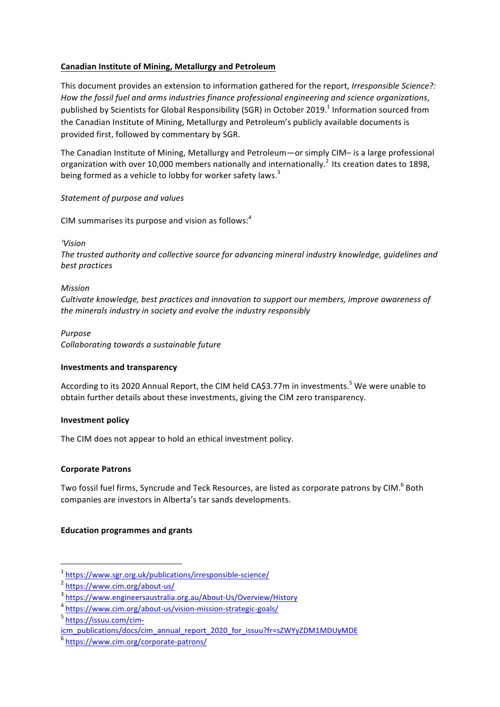## **Canadian Institute of Mining, Metallurgy and Petroleum**

This document provides an extension to information gathered for the report, *Irresponsible Science?*: How the fossil fuel and arms industries finance professional engineering and science organizations, published by Scientists for Global Responsibility (SGR) in October 2019.<sup>1</sup> Information sourced from the Canadian Institute of Mining, Metallurgy and Petroleum's publicly available documents is provided first, followed by commentary by SGR.

The Canadian Institute of Mining, Metallurgy and Petroleum—or simply CIM– is a large professional organization with over 10,000 members nationally and internationally.<sup>2</sup> Its creation dates to 1898, being formed as a vehicle to lobby for worker safety laws.<sup>3</sup>

## *Statement of purpose and values*

CIM summarises its purpose and vision as follows:<sup>4</sup>

*'Vision*

The trusted authority and collective source for advancing mineral industry knowledge, quidelines and *best practices*

#### *Mission*

Cultivate knowledge, best practices and innovation to support our members, improve awareness of *the minerals industry in society and evolve the industry responsibly* 

# *Purpose*

*Collaborating towards a sustainable future*

## **Investments and transparency**

According to its 2020 Annual Report, the CIM held CA\$3.77m in investments.<sup>5</sup> We were unable to obtain further details about these investments, giving the CIM zero transparency.

## **Investment policy**

The CIM does not appear to hold an ethical investment policy.

## **Corporate Patrons**

Two fossil fuel firms, Syncrude and Teck Resources, are listed as corporate patrons by CIM.<sup>6</sup> Both companies are investors in Alberta's tar sands developments.

## **Education programmes and grants**

 

<sup>5</sup> https://issuu.com/cim-

<sup>1</sup> https://www.sgr.org.uk/publications/irresponsible-science/

<sup>2</sup> https://www.cim.org/about-us/

<sup>3</sup> https://www.engineersaustralia.org.au/About-Us/Overview/History

<sup>4</sup> https://www.cim.org/about-us/vision-mission-strategic-goals/

icm\_publications/docs/cim\_annual\_report\_2020\_for\_issuu?fr=sZWYyZDM1MDUyMDE

<sup>6</sup> https://www.cim.org/corporate-patrons/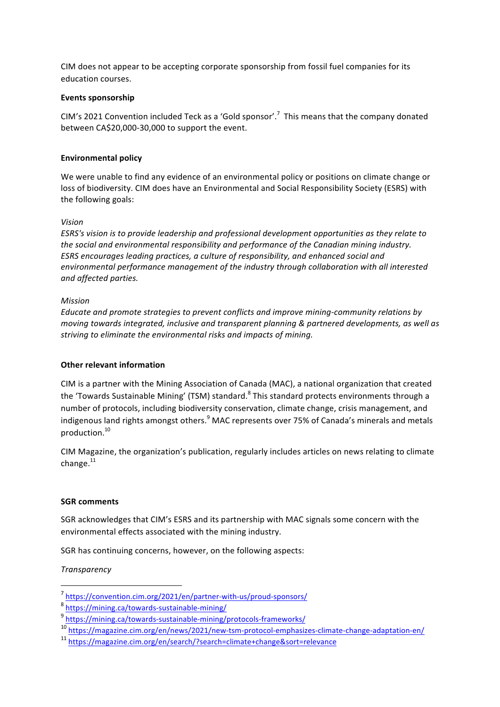CIM does not appear to be accepting corporate sponsorship from fossil fuel companies for its education courses.

#### **Events sponsorship**

CIM's 2021 Convention included Teck as a 'Gold sponsor'.<sup>7</sup> This means that the company donated between CA\$20,000-30,000 to support the event.

#### **Environmental policy**

We were unable to find any evidence of an environmental policy or positions on climate change or loss of biodiversity. CIM does have an Environmental and Social Responsibility Society (ESRS) with the following goals:

#### *Vision*

*ESRS's* vision is to provide leadership and professional development opportunities as they relate to the social and environmental responsibility and performance of the Canadian mining industry. *ESRS* encourages leading practices, a culture of responsibility, and enhanced social and environmental performance management of the industry through collaboration with all interested *and affected parties.*

#### *Mission*

Educate and promote strategies to prevent conflicts and improve mining-community relations by *moving towards integrated, inclusive and transparent planning & partnered developments, as well as* striving to eliminate the environmental risks and impacts of mining.

#### **Other relevant information**

CIM is a partner with the Mining Association of Canada (MAC), a national organization that created the 'Towards Sustainable Mining' (TSM) standard.<sup>8</sup> This standard protects environments through a number of protocols, including biodiversity conservation, climate change, crisis management, and indigenous land rights amongst others.<sup>9</sup> MAC represents over 75% of Canada's minerals and metals production.10

CIM Magazine, the organization's publication, regularly includes articles on news relating to climate change. $^{11}$ 

#### **SGR** comments

SGR acknowledges that CIM's ESRS and its partnership with MAC signals some concern with the environmental effects associated with the mining industry.

SGR has continuing concerns, however, on the following aspects:

## *Transparency*

<sup>7</sup> https://convention.cim.org/2021/en/partner-with-us/proud-sponsors/

<sup>8</sup> https://mining.ca/towards-sustainable-mining/

<sup>9</sup> https://mining.ca/towards-sustainable-mining/protocols-frameworks/

<sup>10</sup> https://magazine.cim.org/en/news/2021/new-tsm-protocol-emphasizes-climate-change-adaptation-en/

<sup>11</sup> https://magazine.cim.org/en/search/?search=climate+change&sort=relevance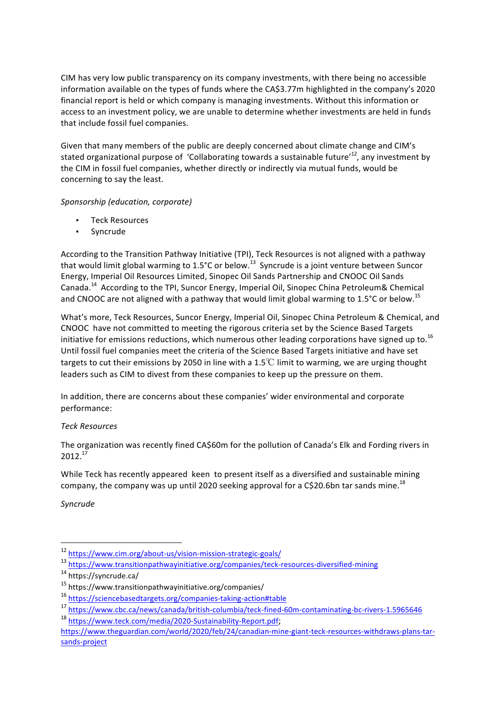CIM has very low public transparency on its company investments, with there being no accessible information available on the types of funds where the CA\$3.77m highlighted in the company's 2020 financial report is held or which company is managing investments. Without this information or access to an investment policy, we are unable to determine whether investments are held in funds that include fossil fuel companies.

Given that many members of the public are deeply concerned about climate change and CIM's stated organizational purpose of 'Collaborating towards a sustainable future'<sup>12</sup>, any investment by the CIM in fossil fuel companies, whether directly or indirectly via mutual funds, would be concerning to say the least.

## *Sponsorship (education, corporate)*

- **Teck Resources**
- Syncrude

According to the Transition Pathway Initiative (TPI), Teck Resources is not aligned with a pathway that would limit global warming to 1.5°C or below.<sup>13</sup> Syncrude is a joint venture between Suncor Energy, Imperial Oil Resources Limited, Sinopec Oil Sands Partnership and CNOOC Oil Sands Canada.<sup>14</sup> According to the TPI, Suncor Energy, Imperial Oil, Sinopec China Petroleum& Chemical and CNOOC are not aligned with a pathway that would limit global warming to 1.5°C or below.<sup>15</sup>

What's more, Teck Resources, Suncor Energy, Imperial Oil, Sinopec China Petroleum & Chemical, and CNOOC have not committed to meeting the rigorous criteria set by the Science Based Targets initiative for emissions reductions, which numerous other leading corporations have signed up to.<sup>16</sup> Until fossil fuel companies meet the criteria of the Science Based Targets initiative and have set targets to cut their emissions by 2050 in line with a 1.5°C limit to warming, we are urging thought leaders such as CIM to divest from these companies to keep up the pressure on them.

In addition, there are concerns about these companies' wider environmental and corporate performance:

# *Teck Resources*

The organization was recently fined CA\$60m for the pollution of Canada's Elk and Fording rivers in 2012.17

While Teck has recently appeared keen to present itself as a diversified and sustainable mining company, the company was up until 2020 seeking approval for a C\$20.6bn tar sands mine.<sup>18</sup>

*Syncrude*

<sup>13</sup> https://www.transitionpathwayinitiative.org/companies/teck-resources-diversified-mining

<sup>12</sup> https://www.cim.org/about-us/vision-mission-strategic-goals/

<sup>14</sup> https://syncrude.ca/

<sup>15</sup> https://www.transitionpathwayinitiative.org/companies/

<sup>16</sup> https://sciencebasedtargets.org/companies-taking-action#table

<sup>17</sup> https://www.cbc.ca/news/canada/british-columbia/teck-fined-60m-contaminating-bc-rivers-1.5965646

<sup>18</sup> https://www.teck.com/media/2020-Sustainability-Report.pdf; 

https://www.theguardian.com/world/2020/feb/24/canadian-mine-giant-teck-resources-withdraws-plans-tarsands-project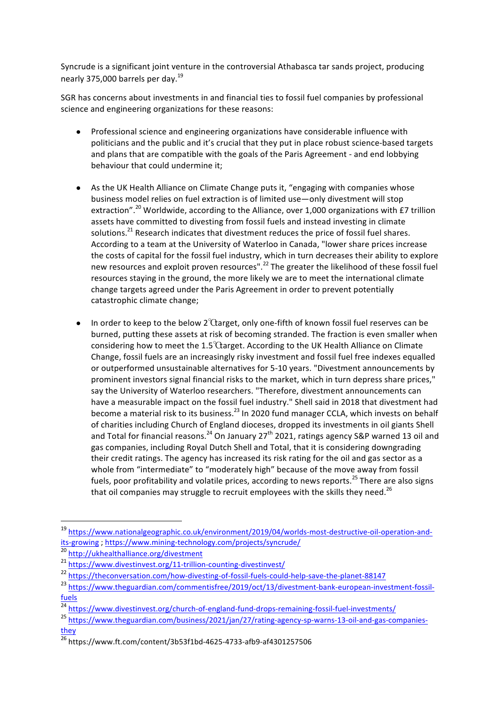Syncrude is a significant joint venture in the controversial Athabasca tar sands project, producing nearly 375,000 barrels per day.<sup>19</sup>

SGR has concerns about investments in and financial ties to fossil fuel companies by professional science and engineering organizations for these reasons:

- Professional science and engineering organizations have considerable influence with politicians and the public and it's crucial that they put in place robust science-based targets and plans that are compatible with the goals of the Paris Agreement - and end lobbying behaviour that could undermine it:
- As the UK Health Alliance on Climate Change puts it, "engaging with companies whose business model relies on fuel extraction is of limited use—only divestment will stop extraction".<sup>20</sup> Worldwide, according to the Alliance, over 1,000 organizations with £7 trillion assets have committed to divesting from fossil fuels and instead investing in climate solutions.<sup>21</sup> Research indicates that divestment reduces the price of fossil fuel shares. According to a team at the University of Waterloo in Canada, "lower share prices increase the costs of capital for the fossil fuel industry, which in turn decreases their ability to explore new resources and exploit proven resources".<sup>22</sup> The greater the likelihood of these fossil fuel resources staying in the ground, the more likely we are to meet the international climate change targets agreed under the Paris Agreement in order to prevent potentially catastrophic climate change;
- In order to keep to the below  $2^{\circ}$ Garget, only one-fifth of known fossil fuel reserves can be burned, putting these assets at risk of becoming stranded. The fraction is even smaller when considering how to meet the 1.5<sup>°</sup> $\alpha$ arget. According to the UK Health Alliance on Climate Change, fossil fuels are an increasingly risky investment and fossil fuel free indexes equalled or outperformed unsustainable alternatives for 5-10 years. "Divestment announcements by prominent investors signal financial risks to the market, which in turn depress share prices," say the University of Waterloo researchers. "Therefore, divestment announcements can have a measurable impact on the fossil fuel industry." Shell said in 2018 that divestment had become a material risk to its business.<sup>23</sup> In 2020 fund manager CCLA, which invests on behalf of charities including Church of England dioceses, dropped its investments in oil giants Shell and Total for financial reasons.<sup>24</sup> On January 27<sup>th</sup> 2021, ratings agency S&P warned 13 oil and gas companies, including Royal Dutch Shell and Total, that it is considering downgrading their credit ratings. The agency has increased its risk rating for the oil and gas sector as a whole from "intermediate" to "moderately high" because of the move away from fossil fuels, poor profitability and volatile prices, according to news reports.<sup>25</sup> There are also signs that oil companies may struggle to recruit employees with the skills they need.<sup>26</sup>

<sup>19</sup> https://www.nationalgeographic.co.uk/environment/2019/04/worlds-most-destructive-oil-operation-andits-growing ; https://www.mining-technology.com/projects/syncrude/

<sup>20</sup> http://ukhealthalliance.org/divestment

<sup>21</sup> https://www.divestinvest.org/11-trillion-counting-divestinvest/

<sup>22</sup> https://theconversation.com/how-divesting-of-fossil-fuels-could-help-save-the-planet-88147

<sup>23</sup> https://www.theguardian.com/commentisfree/2019/oct/13/divestment-bank-european-investment-fossilfuels

<sup>24</sup> https://www.divestinvest.org/church-of-england-fund-drops-remaining-fossil-fuel-investments/

<sup>25</sup> https://www.theguardian.com/business/2021/jan/27/rating-agency-sp-warns-13-oil-and-gas-companiesthey

<sup>26</sup> https://www.ft.com/content/3b53f1bd-4625-4733-afb9-af4301257506